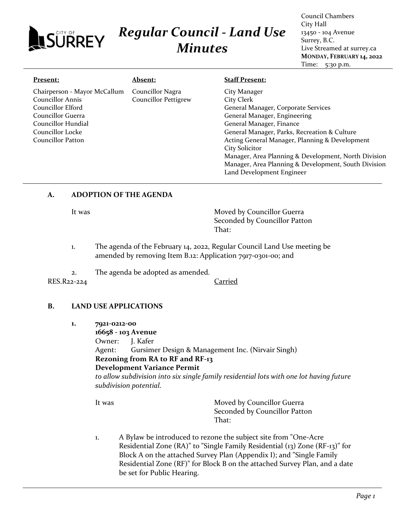# *Regular Council - Land Use* **ISURREY** *Minutes*

Council Chambers City Hall 13450 - 104 Avenue Surrey, B.C. Live Streamed at surrey.ca **MONDAY, FEBRUARY 14, 2022** Time: 5:30 p.m.

#### **Present:** Chairperson - Mayor McCallum Councillor Annis Councillor Elford Councillor Guerra Councillor Hundial Councillor Locke Councillor Patton **Absent:** Councillor Nagra Councillor Pettigrew **Staff Present:** City Manager City Clerk General Manager, Corporate Services General Manager, Engineering General Manager, Finance General Manager, Parks, Recreation & Culture Acting General Manager, Planning & Development City Solicitor Manager, Area Planning & Development, North Division Manager, Area Planning & Development, South Division Land Development Engineer

### **A. ADOPTION OF THE AGENDA**

It was **Moved by Councillor Guerra** Seconded by Councillor Patton That:

- 1. The agenda of the February 14, 2022, Regular Council Land Use meeting be amended by removing Item B.12: Application 7917-0301-00; and
- 2. The agenda be adopted as amended.

RES.R22-224 Carried

#### **B. LAND USE APPLICATIONS**

**1. 7921-0212-00**

**16658 - 103 Avenue** Owner: J. Kafer Agent: Gursimer Design & Management Inc. (Nirvair Singh) **Rezoning from RA to RF and RF-13 Development Variance Permit** *to allow subdivision into six single family residential lots with one lot having future subdivision potential.*

It was **Moved by Councillor Guerra** Seconded by Councillor Patton That:

1. A Bylaw be introduced to rezone the subject site from "One-Acre Residential Zone (RA)" to "Single Family Residential (13) Zone (RF-13)" for Block A on the attached Survey Plan (Appendix I); and "Single Family Residential Zone (RF)" for Block B on the attached Survey Plan, and a date be set for Public Hearing.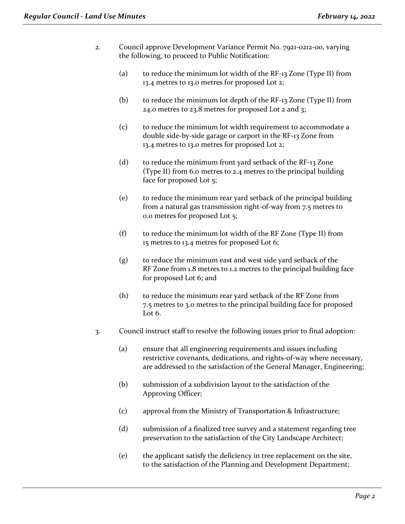- 2. Council approve Development Variance Permit No. 7921-0212-00, varying the following, to proceed to Public Notification:
	- (a) to reduce the minimum lot width of the RF-13 Zone (Type II) from 13.4 metres to 13.0 metres for proposed Lot 2;
	- (b) to reduce the minimum lot depth of the RF-13 Zone (Type II) from 24.0 metres to 23.8 metres for proposed Lot 2 and 3;
	- (c) to reduce the minimum lot width requirement to accommodate a double side-by-side garage or carport in the RF-13 Zone from 13.4 metres to 13.0 metres for proposed Lot 2;
	- (d) to reduce the minimum front yard setback of the RF-13 Zone (Type II) from 6.0 metres to 2.4 metres to the principal building face for proposed Lot 5;
	- (e) to reduce the minimum rear yard setback of the principal building from a natural gas transmission right-of-way from 7.5 metres to 0.0 metres for proposed Lot 5;
	- (f) to reduce the minimum lot width of the RF Zone (Type II) from 15 metres to 13.4 metres for proposed Lot 6;
	- (g) to reduce the minimum east and west side yard setback of the RF Zone from 1.8 metres to 1.2 metres to the principal building face for proposed Lot 6; and
	- (h) to reduce the minimum rear yard setback of the RF Zone from 7.5 metres to 3.0 metres to the principal building face for proposed Lot 6.
- 3. Council instruct staff to resolve the following issues prior to final adoption:
	- (a) ensure that all engineering requirements and issues including restrictive covenants, dedications, and rights-of-way where necessary, are addressed to the satisfaction of the General Manager, Engineering;
	- (b) submission of a subdivision layout to the satisfaction of the Approving Officer;
	- (c) approval from the Ministry of Transportation & Infrastructure;
	- (d) submission of a finalized tree survey and a statement regarding tree preservation to the satisfaction of the City Landscape Architect;
	- (e) the applicant satisfy the deficiency in tree replacement on the site, to the satisfaction of the Planning and Development Department;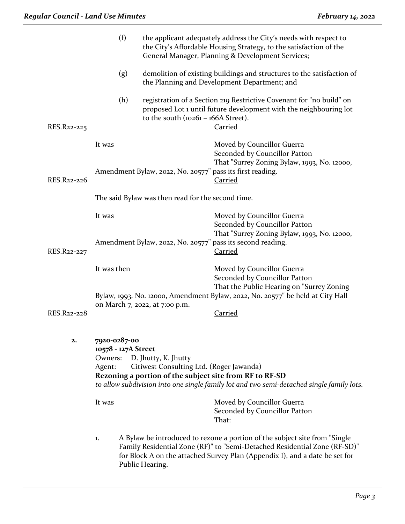|             | (f)                                                      |                                                                  | the applicant adequately address the City's needs with respect to<br>the City's Affordable Housing Strategy, to the satisfaction of the<br>General Manager, Planning & Development Services;                                            |  |  |
|-------------|----------------------------------------------------------|------------------------------------------------------------------|-----------------------------------------------------------------------------------------------------------------------------------------------------------------------------------------------------------------------------------------|--|--|
|             | (g)                                                      |                                                                  | demolition of existing buildings and structures to the satisfaction of<br>the Planning and Development Department; and                                                                                                                  |  |  |
| RES.R22-225 | (h)                                                      | to the south $(10261 - 166A$ Street).                            | registration of a Section 219 Restrictive Covenant for "no build" on<br>proposed Lot 1 until future development with the neighbouring lot<br><b>Carried</b>                                                                             |  |  |
| RES.R22-226 | It was                                                   | Amendment Bylaw, 2022, No. 20577" pass its first reading.        | Moved by Councillor Guerra<br>Seconded by Councillor Patton<br>That "Surrey Zoning Bylaw, 1993, No. 12000,<br><b>Carried</b>                                                                                                            |  |  |
|             |                                                          | The said Bylaw was then read for the second time.                |                                                                                                                                                                                                                                         |  |  |
|             | It was                                                   |                                                                  | Moved by Councillor Guerra<br>Seconded by Councillor Patton<br>That "Surrey Zoning Bylaw, 1993, No. 12000,                                                                                                                              |  |  |
| RES.R22-227 |                                                          |                                                                  | Amendment Bylaw, 2022, No. 20577" pass its second reading.<br><b>Carried</b>                                                                                                                                                            |  |  |
|             | It was then                                              |                                                                  | Moved by Councillor Guerra<br>Seconded by Councillor Patton<br>That the Public Hearing on "Surrey Zoning<br>Bylaw, 1993, No. 12000, Amendment Bylaw, 2022, No. 20577" be held at City Hall                                              |  |  |
| RES.R22-228 |                                                          | on March 7, 2022, at 7:00 p.m.                                   | <b>Carried</b>                                                                                                                                                                                                                          |  |  |
| 2.          | 7920-0287-00<br>10578 - 127A Street<br>Owners:<br>Agent: | D. Jhutty, K. Jhutty<br>Citiwest Consulting Ltd. (Roger Jawanda) | Rezoning a portion of the subject site from RF to RF-SD<br>to allow subdivision into one single family lot and two semi-detached single family lots.                                                                                    |  |  |
|             | It was                                                   |                                                                  | Moved by Councillor Guerra<br>Seconded by Councillor Patton<br>That:                                                                                                                                                                    |  |  |
|             | 1.                                                       | Public Hearing.                                                  | A Bylaw be introduced to rezone a portion of the subject site from "Single"<br>Family Residential Zone (RF)" to "Semi-Detached Residential Zone (RF-SD)"<br>for Block A on the attached Survey Plan (Appendix I), and a date be set for |  |  |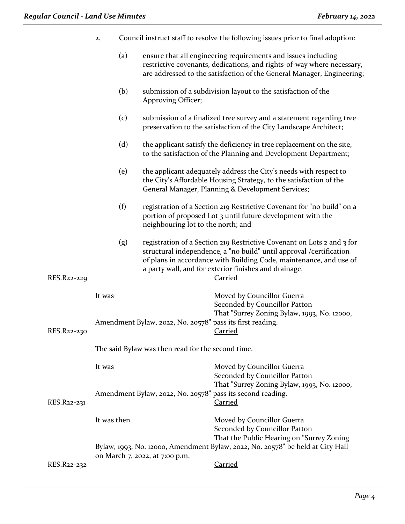| Council instruct staff to resolve the following issues prior to final adoption: |
|---------------------------------------------------------------------------------|
|                                                                                 |

- (a) ensure that all engineering requirements and issues including restrictive covenants, dedications, and rights-of-way where necessary, are addressed to the satisfaction of the General Manager, Engineering;
- (b) submission of a subdivision layout to the satisfaction of the Approving Officer;
- (c) submission of a finalized tree survey and a statement regarding tree preservation to the satisfaction of the City Landscape Architect;
- (d) the applicant satisfy the deficiency in tree replacement on the site, to the satisfaction of the Planning and Development Department;
- (e) the applicant adequately address the City's needs with respect to the City's Affordable Housing Strategy, to the satisfaction of the General Manager, Planning & Development Services;
- (f) registration of a Section 219 Restrictive Covenant for "no build" on a portion of proposed Lot 3 until future development with the neighbouring lot to the north; and
- (g) registration of a Section 219 Restrictive Covenant on Lots 2 and 3 for structural independence, a "no build" until approval /certification of plans in accordance with Building Code, maintenance, and use of a party wall, and for exterior finishes and drainage.

RES.R22-229 Carried

| RES.R22-230 | It was<br>Amendment Bylaw, 2022, No. 20578" pass its first reading. | Moved by Councillor Guerra<br>Seconded by Councillor Patton<br>That "Surrey Zoning Bylaw, 1993, No. 12000,<br>Carried |  |  |  |  |
|-------------|---------------------------------------------------------------------|-----------------------------------------------------------------------------------------------------------------------|--|--|--|--|
|             | The said Bylaw was then read for the second time.                   |                                                                                                                       |  |  |  |  |
|             | It was                                                              | Moved by Councillor Guerra<br>Seconded by Councillor Patton                                                           |  |  |  |  |
| RES.R22-231 | Amendment Bylaw, 2022, No. 20578" pass its second reading.          | That "Surrey Zoning Bylaw, 1993, No. 12000,<br>Carried                                                                |  |  |  |  |
|             | It was then                                                         | Moved by Councillor Guerra                                                                                            |  |  |  |  |

Seconded by Councillor Patton That the Public Hearing on "Surrey Zoning Bylaw, 1993, No. 12000, Amendment Bylaw, 2022, No. 20578" be held at City Hall on March 7, 2022, at 7:00 p.m.

RES.R22-232 Carried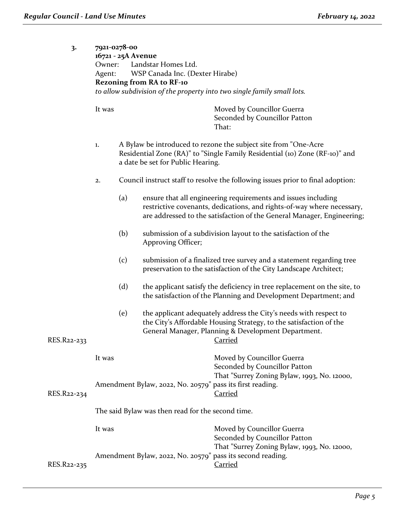| 3.          | 7921-0278-00<br>16721 - 25A Avenue<br>Owner:<br>Agent:<br><b>Rezoning from RA to RF-10</b> |     | Landstar Homes Ltd.<br>WSP Canada Inc. (Dexter Hirabe) | to allow subdivision of the property into two single family small lots.                                                                                                                                           |
|-------------|--------------------------------------------------------------------------------------------|-----|--------------------------------------------------------|-------------------------------------------------------------------------------------------------------------------------------------------------------------------------------------------------------------------|
|             | It was                                                                                     |     |                                                        | Moved by Councillor Guerra<br>Seconded by Councillor Patton<br>That:                                                                                                                                              |
|             | 1.                                                                                         |     | a date be set for Public Hearing.                      | A Bylaw be introduced to rezone the subject site from "One-Acre"<br>Residential Zone (RA)" to "Single Family Residential (10) Zone (RF-10)" and                                                                   |
|             | 2.                                                                                         |     |                                                        | Council instruct staff to resolve the following issues prior to final adoption:                                                                                                                                   |
|             |                                                                                            | (a) |                                                        | ensure that all engineering requirements and issues including<br>restrictive covenants, dedications, and rights-of-way where necessary,<br>are addressed to the satisfaction of the General Manager, Engineering; |
|             |                                                                                            | (b) | Approving Officer;                                     | submission of a subdivision layout to the satisfaction of the                                                                                                                                                     |
|             |                                                                                            | (c) |                                                        | submission of a finalized tree survey and a statement regarding tree<br>preservation to the satisfaction of the City Landscape Architect;                                                                         |
|             |                                                                                            | (d) |                                                        | the applicant satisfy the deficiency in tree replacement on the site, to<br>the satisfaction of the Planning and Development Department; and                                                                      |
| RES.R22-233 |                                                                                            | (e) | <b>Example 1</b> Carried                               | the applicant adequately address the City's needs with respect to<br>the City's Affordable Housing Strategy, to the satisfaction of the<br>General Manager, Planning & Development Department.                    |
|             | It was                                                                                     |     |                                                        | Moved by Councillor Guerra<br>Seconded by Councillor Patton                                                                                                                                                       |
| RES.R22-234 | Amendment Bylaw, 2022, No. 20579" pass its first reading.                                  |     |                                                        | That "Surrey Zoning Bylaw, 1993, No. 12000,<br><b>Carried</b>                                                                                                                                                     |
|             | The said Bylaw was then read for the second time.                                          |     |                                                        |                                                                                                                                                                                                                   |
|             | It was                                                                                     |     |                                                        | Moved by Councillor Guerra<br>Seconded by Councillor Patton                                                                                                                                                       |
| RES.R22-235 |                                                                                            |     |                                                        | That "Surrey Zoning Bylaw, 1993, No. 12000,<br>Amendment Bylaw, 2022, No. 20579" pass its second reading.<br><b>Carried</b>                                                                                       |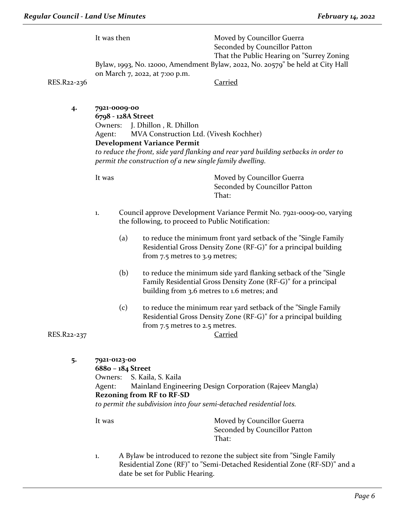It was then Moved by Councillor Guerra Seconded by Councillor Patton That the Public Hearing on "Surrey Zoning Bylaw, 1993, No. 12000, Amendment Bylaw, 2022, No. 20579" be held at City Hall on March 7, 2022, at 7:00 p.m.

RES.R22-236 Carried

**4. 7921-0009-00**

**6798 - 128A Street** Owners: J. Dhillon , R. Dhillon Agent: MVA Construction Ltd. (Vivesh Kochher) **Development Variance Permit**

*to reduce the front, side yard flanking and rear yard building setbacks in order to permit the construction of a new single family dwelling.*

It was **Moved by Councillor Guerra** Seconded by Councillor Patton That:

- 1. Council approve Development Variance Permit No. 7921-0009-00, varying the following, to proceed to Public Notification:
	- (a) to reduce the minimum front yard setback of the "Single Family Residential Gross Density Zone (RF-G)" for a principal building from 7.5 metres to 3.9 metres;
	- (b) to reduce the minimum side yard flanking setback of the "Single Family Residential Gross Density Zone (RF-G)" for a principal building from 3.6 metres to 1.6 metres; and
- (c) to reduce the minimum rear yard setback of the "Single Family Residential Gross Density Zone (RF-G)" for a principal building from 7.5 metres to 2.5 metres. RES.R22-237 Carried

**5. 7921-0123-00**

**6880 – 184 Street** Owners: S. Kaila, S. Kaila Agent: Mainland Engineering Design Corporation (Rajeev Mangla) **Rezoning from RF to RF-SD** *to permit the subdivision into four semi-detached residential lots.* 

It was Moved by Councillor Guerra Seconded by Councillor Patton That:

1. A Bylaw be introduced to rezone the subject site from "Single Family Residential Zone (RF)" to "Semi-Detached Residential Zone (RF-SD)" and a date be set for Public Hearing.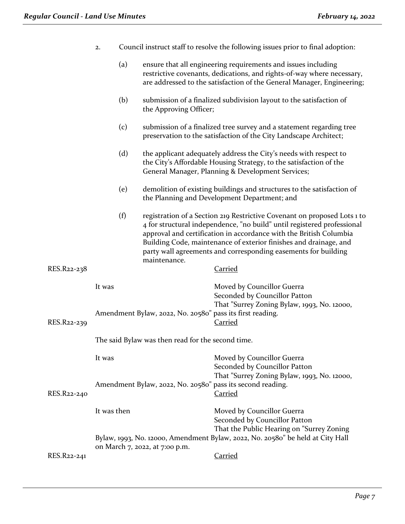|             | 2.                                                |                                                            |                                                           | Council instruct staff to resolve the following issues prior to final adoption:                                                                                                                                                                                                                                                                                  |  |
|-------------|---------------------------------------------------|------------------------------------------------------------|-----------------------------------------------------------|------------------------------------------------------------------------------------------------------------------------------------------------------------------------------------------------------------------------------------------------------------------------------------------------------------------------------------------------------------------|--|
|             |                                                   | (a)                                                        |                                                           | ensure that all engineering requirements and issues including<br>restrictive covenants, dedications, and rights-of-way where necessary,<br>are addressed to the satisfaction of the General Manager, Engineering;                                                                                                                                                |  |
|             |                                                   | (b)                                                        | the Approving Officer;                                    | submission of a finalized subdivision layout to the satisfaction of                                                                                                                                                                                                                                                                                              |  |
|             |                                                   | (c)                                                        |                                                           | submission of a finalized tree survey and a statement regarding tree<br>preservation to the satisfaction of the City Landscape Architect;                                                                                                                                                                                                                        |  |
|             |                                                   | (d)                                                        |                                                           | the applicant adequately address the City's needs with respect to<br>the City's Affordable Housing Strategy, to the satisfaction of the<br>General Manager, Planning & Development Services;                                                                                                                                                                     |  |
|             |                                                   | (e)                                                        |                                                           | demolition of existing buildings and structures to the satisfaction of<br>the Planning and Development Department; and                                                                                                                                                                                                                                           |  |
|             |                                                   | (f)                                                        | maintenance.                                              | registration of a Section 219 Restrictive Covenant on proposed Lots 1 to<br>4 for structural independence, "no build" until registered professional<br>approval and certification in accordance with the British Columbia<br>Building Code, maintenance of exterior finishes and drainage, and<br>party wall agreements and corresponding easements for building |  |
| RES.R22-238 |                                                   |                                                            |                                                           | <b>Carried</b>                                                                                                                                                                                                                                                                                                                                                   |  |
| RES.R22-239 | It was                                            |                                                            | Amendment Bylaw, 2022, No. 20580" pass its first reading. | Moved by Councillor Guerra<br>Seconded by Councillor Patton<br>That "Surrey Zoning Bylaw, 1993, No. 12000,<br><b>Carried</b>                                                                                                                                                                                                                                     |  |
|             | The said Bylaw was then read for the second time. |                                                            |                                                           |                                                                                                                                                                                                                                                                                                                                                                  |  |
|             | It was                                            |                                                            |                                                           | Moved by Councillor Guerra<br>Seconded by Councillor Patton<br>That "Surrey Zoning Bylaw, 1993, No. 12000,                                                                                                                                                                                                                                                       |  |
| RES.R22-240 |                                                   | Amendment Bylaw, 2022, No. 20580" pass its second reading. |                                                           | <b>Carried</b>                                                                                                                                                                                                                                                                                                                                                   |  |
|             | It was then                                       |                                                            |                                                           | Moved by Councillor Guerra<br>Seconded by Councillor Patton<br>That the Public Hearing on "Surrey Zoning                                                                                                                                                                                                                                                         |  |
|             |                                                   |                                                            | on March 7, 2022, at 7:00 p.m.                            | Bylaw, 1993, No. 12000, Amendment Bylaw, 2022, No. 20580" be held at City Hall                                                                                                                                                                                                                                                                                   |  |
| RES.R22-241 |                                                   |                                                            |                                                           | <b>Carried</b>                                                                                                                                                                                                                                                                                                                                                   |  |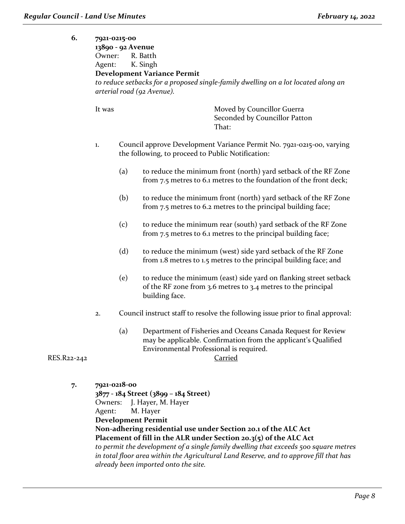| 6.          | Owner:<br>Agent: | 7921-0215-00<br>13890 - 92 Avenue<br>R. Batth<br>K. Singh<br><b>Development Variance Permit</b><br>to reduce setbacks for a proposed single-family dwelling on a lot located along an<br>arterial road (92 Avenue).<br>Moved by Councillor Guerra<br>Seconded by Councillor Patton<br>That: |                                                                                                                                                                                      |  |
|-------------|------------------|---------------------------------------------------------------------------------------------------------------------------------------------------------------------------------------------------------------------------------------------------------------------------------------------|--------------------------------------------------------------------------------------------------------------------------------------------------------------------------------------|--|
|             | It was           |                                                                                                                                                                                                                                                                                             |                                                                                                                                                                                      |  |
|             | 1.               |                                                                                                                                                                                                                                                                                             | Council approve Development Variance Permit No. 7921-0215-00, varying<br>the following, to proceed to Public Notification:                                                           |  |
|             |                  | (a)                                                                                                                                                                                                                                                                                         | to reduce the minimum front (north) yard setback of the RF Zone<br>from 7.5 metres to 6.1 metres to the foundation of the front deck;                                                |  |
|             |                  | (b)                                                                                                                                                                                                                                                                                         | to reduce the minimum front (north) yard setback of the RF Zone<br>from 7.5 metres to 6.2 metres to the principal building face;                                                     |  |
|             |                  | (c)                                                                                                                                                                                                                                                                                         | to reduce the minimum rear (south) yard setback of the RF Zone<br>from 7.5 metres to 6.1 metres to the principal building face;                                                      |  |
|             |                  | (d)                                                                                                                                                                                                                                                                                         | to reduce the minimum (west) side yard setback of the RF Zone<br>from 1.8 metres to 1.5 metres to the principal building face; and                                                   |  |
|             |                  | (e)                                                                                                                                                                                                                                                                                         | to reduce the minimum (east) side yard on flanking street setback<br>of the RF zone from 3.6 metres to 3.4 metres to the principal<br>building face.                                 |  |
|             | 2.               |                                                                                                                                                                                                                                                                                             | Council instruct staff to resolve the following issue prior to final approval:                                                                                                       |  |
| RES.R22-242 |                  | (a)                                                                                                                                                                                                                                                                                         | Department of Fisheries and Oceans Canada Request for Review<br>may be applicable. Confirmation from the applicant's Qualified<br>Environmental Professional is required.<br>Carried |  |
| 7.          | 7921-0218-00     |                                                                                                                                                                                                                                                                                             | 3877 - 184 Street (3899 - 184 Street)<br>Owners: I Haver M Haver                                                                                                                     |  |

Owners: J. Hayer, M. Hayer Agent: M. Hayer **Development Permit Non-adhering residential use under Section 20.1 of the ALC Act Placement of fill in the ALR under Section 20.3(5) of the ALC Act** *to permit the development of a single family dwelling that exceeds 500 square metres in total floor area within the Agricultural Land Reserve, and to approve fill that has already been imported onto the site.*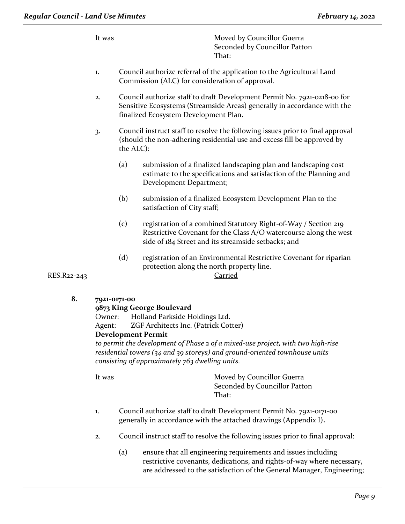It was Moved by Councillor Guerra Seconded by Councillor Patton That:

- 1. Council authorize referral of the application to the Agricultural Land Commission (ALC) for consideration of approval.
- 2. Council authorize staff to draft Development Permit No. 7921-0218-00 for Sensitive Ecosystems (Streamside Areas) generally in accordance with the finalized Ecosystem Development Plan.
- 3. Council instruct staff to resolve the following issues prior to final approval (should the non-adhering residential use and excess fill be approved by the ALC):
	- (a) submission of a finalized landscaping plan and landscaping cost estimate to the specifications and satisfaction of the Planning and Development Department;
	- (b) submission of a finalized Ecosystem Development Plan to the satisfaction of City staff;
	- (c) registration of a combined Statutory Right-of-Way / Section 219 Restrictive Covenant for the Class A/O watercourse along the west side of 184 Street and its streamside setbacks; and
	- (d) registration of an Environmental Restrictive Covenant for riparian protection along the north property line.

RES.R22-243 Carried

**8. 7921-0171-00**

# **9873 King George Boulevard**

Owner: Holland Parkside Holdings Ltd.

Agent: ZGF Architects Inc. (Patrick Cotter)

# **Development Permit**

*to permit the development of Phase 2 of a mixed-use project, with two high-rise residential towers (34 and 39 storeys) and ground-oriented townhouse units consisting of approximately 763 dwelling units.*

It was **Moved by Councillor Guerra** Seconded by Councillor Patton That:

- 1. Council authorize staff to draft Development Permit No. 7921-0171-00 generally in accordance with the attached drawings (Appendix I)**.**
- 2. Council instruct staff to resolve the following issues prior to final approval:
	- (a) ensure that all engineering requirements and issues including restrictive covenants, dedications, and rights-of-way where necessary, are addressed to the satisfaction of the General Manager, Engineering;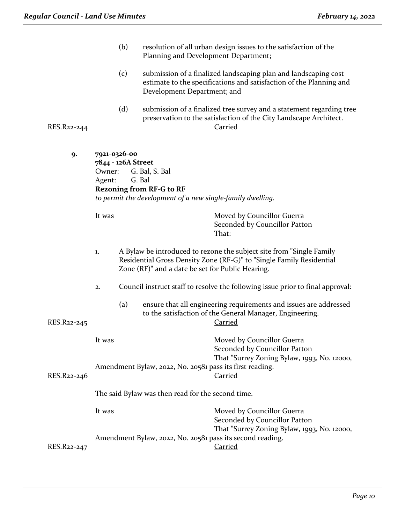|             | (b)                                                    | resolution of all urban design issues to the satisfaction of the<br>Planning and Development Department;                                                                                         |  |
|-------------|--------------------------------------------------------|--------------------------------------------------------------------------------------------------------------------------------------------------------------------------------------------------|--|
|             | (c)                                                    | submission of a finalized landscaping plan and landscaping cost<br>estimate to the specifications and satisfaction of the Planning and<br>Development Department; and                            |  |
| RES.R22-244 | (d)                                                    | submission of a finalized tree survey and a statement regarding tree<br>preservation to the satisfaction of the City Landscape Architect.<br><b>Carried</b>                                      |  |
| 9.          | 7921-0326-00<br>7844 - 126A Street<br>Owner:<br>Agent: | G. Bal, S. Bal<br>G. Bal<br><b>Rezoning from RF-G to RF</b><br>to permit the development of a new single-family dwelling.                                                                        |  |
|             | It was                                                 | Moved by Councillor Guerra<br>Seconded by Councillor Patton<br>That:                                                                                                                             |  |
|             | 1.                                                     | A Bylaw be introduced to rezone the subject site from "Single Family<br>Residential Gross Density Zone (RF-G)" to "Single Family Residential<br>Zone (RF)" and a date be set for Public Hearing. |  |
|             | 2.                                                     | Council instruct staff to resolve the following issue prior to final approval:                                                                                                                   |  |
| RES.R22-245 | (a)                                                    | ensure that all engineering requirements and issues are addressed<br>to the satisfaction of the General Manager, Engineering.<br><u>Carried</u>                                                  |  |
|             | It was                                                 | Moved by Councillor Guerra<br>Seconded by Councillor Patton                                                                                                                                      |  |
| RES.R22-246 |                                                        | That "Surrey Zoning Bylaw, 1993, No. 12000,<br>Amendment Bylaw, 2022, No. 20581 pass its first reading.<br><b>Carried</b>                                                                        |  |
|             |                                                        | The said Bylaw was then read for the second time.                                                                                                                                                |  |
|             | It was                                                 | Moved by Councillor Guerra<br>Seconded by Councillor Patton<br>That "Surrey Zoning Bylaw, 1993, No. 12000,                                                                                       |  |
| RES.R22-247 |                                                        | Amendment Bylaw, 2022, No. 20581 pass its second reading.<br><b>Carried</b>                                                                                                                      |  |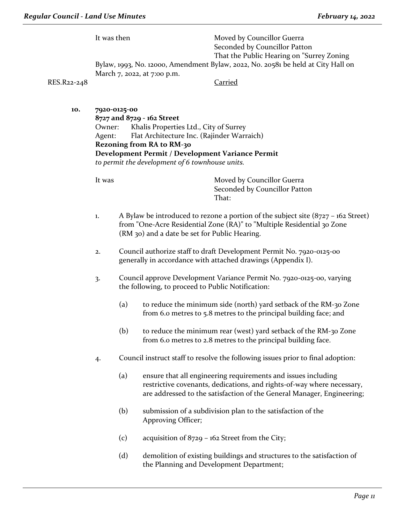It was then Moved by Councillor Guerra Seconded by Councillor Patton That the Public Hearing on "Surrey Zoning Bylaw, 1993, No. 12000, Amendment Bylaw, 2022, No. 20581 be held at City Hall on March 7, 2022, at 7:00 p.m.

RES.R22-248 Carried

**10. 7920-0125-00 8727 and 8729 - 162 Street**

Owner: Khalis Properties Ltd., City of Surrey Agent: Flat Architecture Inc. (Rajinder Warraich) **Rezoning from RA to RM-30 Development Permit / Development Variance Permit** *to permit the development of 6 townhouse units.* 

It was **Moved by Councillor Guerra** Seconded by Councillor Patton That:

- 1. A Bylaw be introduced to rezone a portion of the subject site  $(8727 162$  Street) from "One-Acre Residential Zone (RA)" to "Multiple Residential 30 Zone (RM 30) and a date be set for Public Hearing.
- 2. Council authorize staff to draft Development Permit No. 7920-0125-00 generally in accordance with attached drawings (Appendix I).
- 3. Council approve Development Variance Permit No. 7920-0125-00, varying the following, to proceed to Public Notification:
	- (a) to reduce the minimum side (north) yard setback of the RM-30 Zone from 6.0 metres to 5.8 metres to the principal building face; and
	- (b) to reduce the minimum rear (west) yard setback of the RM-30 Zone from 6.0 metres to 2.8 metres to the principal building face.
- 4. Council instruct staff to resolve the following issues prior to final adoption:
	- (a) ensure that all engineering requirements and issues including restrictive covenants, dedications, and rights-of-way where necessary, are addressed to the satisfaction of the General Manager, Engineering;
	- (b) submission of a subdivision plan to the satisfaction of the Approving Officer;
	- (c) acquisition of 8729 162 Street from the City;
	- (d) demolition of existing buildings and structures to the satisfaction of the Planning and Development Department;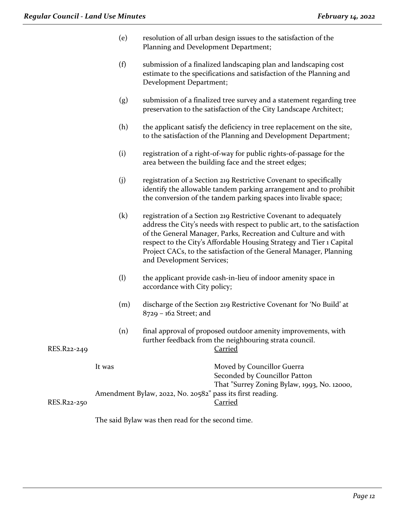- (e) resolution of all urban design issues to the satisfaction of the Planning and Development Department;
- (f) submission of a finalized landscaping plan and landscaping cost estimate to the specifications and satisfaction of the Planning and Development Department;
- (g) submission of a finalized tree survey and a statement regarding tree preservation to the satisfaction of the City Landscape Architect;
- (h) the applicant satisfy the deficiency in tree replacement on the site, to the satisfaction of the Planning and Development Department;
- (i) registration of a right-of-way for public rights-of-passage for the area between the building face and the street edges;
- (j) registration of a Section 219 Restrictive Covenant to specifically identify the allowable tandem parking arrangement and to prohibit the conversion of the tandem parking spaces into livable space;
- (k) registration of a Section 219 Restrictive Covenant to adequately address the City's needs with respect to public art, to the satisfaction of the General Manager, Parks, Recreation and Culture and with respect to the City's Affordable Housing Strategy and Tier 1 Capital Project CACs, to the satisfaction of the General Manager, Planning and Development Services;
- (l) the applicant provide cash-in-lieu of indoor amenity space in accordance with City policy;
- (m) discharge of the Section 219 Restrictive Covenant for 'No Build' at 8729 – 162 Street; and
- (n) final approval of proposed outdoor amenity improvements, with further feedback from the neighbouring strata council.

#### RES.R22-249 Carried

| It was                                                    | Moved by Councillor Guerra                  |
|-----------------------------------------------------------|---------------------------------------------|
|                                                           | Seconded by Councillor Patton               |
|                                                           | That "Surrey Zoning Bylaw, 1993, No. 12000, |
| Amendment Bylaw, 2022, No. 20582" pass its first reading. |                                             |
|                                                           | Carried                                     |
|                                                           |                                             |

The said Bylaw was then read for the second time.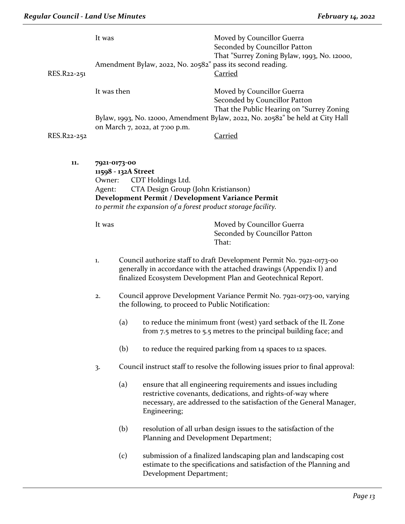|             | It was           |                                     |                                                                                                                                                                               | Moved by Councillor Guerra<br>Seconded by Councillor Patton<br>That "Surrey Zoning Bylaw, 1993, No. 12000,                                                                                                   |
|-------------|------------------|-------------------------------------|-------------------------------------------------------------------------------------------------------------------------------------------------------------------------------|--------------------------------------------------------------------------------------------------------------------------------------------------------------------------------------------------------------|
| RES.R22-251 |                  |                                     |                                                                                                                                                                               | Amendment Bylaw, 2022, No. 20582" pass its second reading.<br><b>Carried</b>                                                                                                                                 |
|             | It was then      |                                     |                                                                                                                                                                               | Moved by Councillor Guerra<br>Seconded by Councillor Patton<br>That the Public Hearing on "Surrey Zoning                                                                                                     |
|             |                  |                                     | on March 7, 2022, at 7:00 p.m.                                                                                                                                                | Bylaw, 1993, No. 12000, Amendment Bylaw, 2022, No. 20582" be held at City Hall                                                                                                                               |
| RES.R22-252 |                  |                                     |                                                                                                                                                                               | <b>Carried</b>                                                                                                                                                                                               |
| 11.         | Owner:<br>Agent: | 7921-0173-00<br>11598 - 132A Street | CDT Holdings Ltd.<br>CTA Design Group (John Kristianson)<br>Development Permit / Development Variance Permit<br>to permit the expansion of a forest product storage facility. |                                                                                                                                                                                                              |
|             | It was           |                                     |                                                                                                                                                                               | Moved by Councillor Guerra<br>Seconded by Councillor Patton<br>That:                                                                                                                                         |
|             | 1.               |                                     |                                                                                                                                                                               | Council authorize staff to draft Development Permit No. 7921-0173-00<br>generally in accordance with the attached drawings (Appendix I) and<br>finalized Ecosystem Development Plan and Geotechnical Report. |
|             | 2.               |                                     | the following, to proceed to Public Notification:                                                                                                                             | Council approve Development Variance Permit No. 7921-0173-00, varying                                                                                                                                        |
|             |                  | (a)                                 |                                                                                                                                                                               | to reduce the minimum front (west) yard setback of the IL Zone<br>from 7.5 metres to 5.5 metres to the principal building face; and                                                                          |
|             |                  | (b)                                 |                                                                                                                                                                               | to reduce the required parking from 14 spaces to 12 spaces.                                                                                                                                                  |
|             | 3.               |                                     |                                                                                                                                                                               | Council instruct staff to resolve the following issues prior to final approval:                                                                                                                              |
|             |                  | (a)                                 | Engineering;                                                                                                                                                                  | ensure that all engineering requirements and issues including<br>restrictive covenants, dedications, and rights-of-way where<br>necessary, are addressed to the satisfaction of the General Manager,         |
|             |                  | (b)                                 | Planning and Development Department;                                                                                                                                          | resolution of all urban design issues to the satisfaction of the                                                                                                                                             |
|             |                  | (c)                                 | Development Department;                                                                                                                                                       | submission of a finalized landscaping plan and landscaping cost<br>estimate to the specifications and satisfaction of the Planning and                                                                       |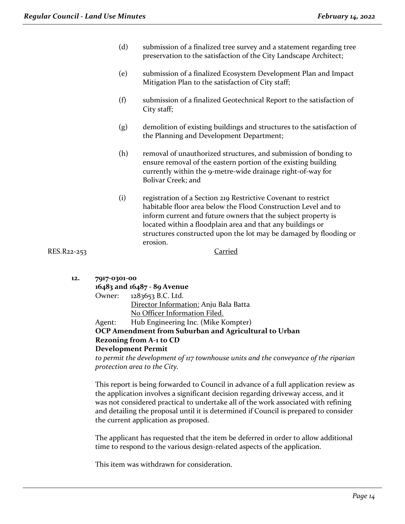- (d) submission of a finalized tree survey and a statement regarding tree preservation to the satisfaction of the City Landscape Architect;
- (e) submission of a finalized Ecosystem Development Plan and Impact Mitigation Plan to the satisfaction of City staff;
- (f) submission of a finalized Geotechnical Report to the satisfaction of City staff;
- (g) demolition of existing buildings and structures to the satisfaction of the Planning and Development Department;
- (h) removal of unauthorized structures, and submission of bonding to ensure removal of the eastern portion of the existing building currently within the 9-metre-wide drainage right-of-way for Bolivar Creek; and
- (i) registration of a Section 219 Restrictive Covenant to restrict habitable floor area below the Flood Construction Level and to inform current and future owners that the subject property is located within a floodplain area and that any buildings or structures constructed upon the lot may be damaged by flooding or erosion.

RES.R22-253 Carried

| 12. | 7917-0301-00<br>16483 and 16487 - 89 Avenue |                          |  |  |  |
|-----|---------------------------------------------|--------------------------|--|--|--|
|     |                                             | Owner: 1283653 B.C. Ltd. |  |  |  |

Director Information: Anju Bala Batta No Officer Information Filed. Agent: Hub Engineering Inc. (Mike Kompter) **OCP Amendment from Suburban and Agricultural to Urban**

#### **Rezoning from A-1 to CD Development Permit**

*to permit the development of 117 townhouse units and the conveyance of the riparian protection area to the City.*

This report is being forwarded to Council in advance of a full application review as the application involves a significant decision regarding driveway access, and it was not considered practical to undertake all of the work associated with refining and detailing the proposal until it is determined if Council is prepared to consider the current application as proposed.

The applicant has requested that the item be deferred in order to allow additional time to respond to the various design-related aspects of the application.

This item was withdrawn for consideration.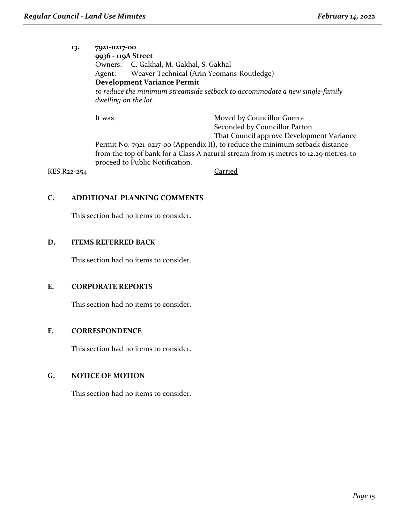#### **13. 7921-0217-00**

**9936 - 119A Street** Owners: C. Gakhal, M. Gakhal, S. Gakhal Agent: Weaver Technical (Arin Yeomans-Routledge) **Development Variance Permit** *to reduce the minimum streamside setback to accommodate a new single-family dwelling on the lot.* 

It was Moved by Councillor Guerra

Seconded by Councillor Patton

That Council approve Development Variance

Permit No. 7921-0217-00 (Appendix II), to reduce the minimum setback distance from the top of bank for a Class A natural stream from 15 metres to 12.29 metres, to proceed to Public Notification.

RES.R22-254 Carried

# **C. ADDITIONAL PLANNING COMMENTS**

This section had no items to consider.

### **D. ITEMS REFERRED BACK**

This section had no items to consider.

#### **E. CORPORATE REPORTS**

This section had no items to consider.

# **F. CORRESPONDENCE**

This section had no items to consider.

# **G. NOTICE OF MOTION**

This section had no items to consider.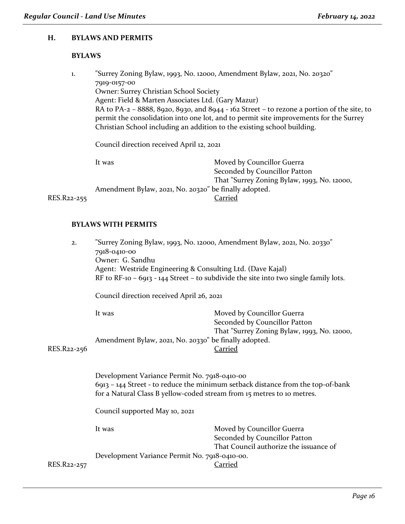#### **H. BYLAWS AND PERMITS**

# **BYLAWS**

| 1.          |                                                                                                                                                                                                                                                                  | "Surrey Zoning Bylaw, 1993, No. 12000, Amendment Bylaw, 2021, No. 20320" |  |  |  |  |
|-------------|------------------------------------------------------------------------------------------------------------------------------------------------------------------------------------------------------------------------------------------------------------------|--------------------------------------------------------------------------|--|--|--|--|
|             | 7919-0157-00                                                                                                                                                                                                                                                     |                                                                          |  |  |  |  |
|             | <b>Owner: Surrey Christian School Society</b>                                                                                                                                                                                                                    |                                                                          |  |  |  |  |
|             | Agent: Field & Marten Associates Ltd. (Gary Mazur)                                                                                                                                                                                                               |                                                                          |  |  |  |  |
|             | RA to PA-2 – 8888, 8920, 8930, and 8944 - $162$ Street – to rezone a portion of the site, to<br>permit the consolidation into one lot, and to permit site improvements for the Surrey<br>Christian School including an addition to the existing school building. |                                                                          |  |  |  |  |
|             | Council direction received April 12, 2021                                                                                                                                                                                                                        |                                                                          |  |  |  |  |
|             | It was                                                                                                                                                                                                                                                           | Moved by Councillor Guerra                                               |  |  |  |  |
|             |                                                                                                                                                                                                                                                                  | Seconded by Councillor Patton                                            |  |  |  |  |
|             |                                                                                                                                                                                                                                                                  | That "Surrey Zoning Bylaw, 1993, No. 12000,                              |  |  |  |  |
|             |                                                                                                                                                                                                                                                                  | Amendment Bylaw, 2021, No. 20320" be finally adopted.                    |  |  |  |  |
| RES.R22-255 |                                                                                                                                                                                                                                                                  | Carried                                                                  |  |  |  |  |
|             |                                                                                                                                                                                                                                                                  |                                                                          |  |  |  |  |

#### **BYLAWS WITH PERMITS**

| 2.          | "Surrey Zoning Bylaw, 1993, No. 12000, Amendment Bylaw, 2021, No. 20330"<br>7918-0410-00<br>Owner: G. Sandhu<br>Agent: Westride Engineering & Consulting Ltd. (Dave Kajal)<br>RF to RF-10 - 6913 - 144 Street - to subdivide the site into two single family lots.<br>Council direction received April 26, 2021 |                                                                                                                  |  |  |  |
|-------------|-----------------------------------------------------------------------------------------------------------------------------------------------------------------------------------------------------------------------------------------------------------------------------------------------------------------|------------------------------------------------------------------------------------------------------------------|--|--|--|
| RES.R22-256 | Moved by Councillor Guerra<br>It was<br>Seconded by Councillor Patton<br>That "Surrey Zoning Bylaw, 1993, No. 12000,<br>Amendment Bylaw, 2021, No. 20330" be finally adopted.<br>Carried                                                                                                                        |                                                                                                                  |  |  |  |
|             | Development Variance Permit No. 7918-0410-00<br>6913 - 144 Street - to reduce the minimum setback distance from the top-of-bank<br>for a Natural Class B yellow-coded stream from 15 metres to 10 metres.<br>Council supported May 10, 2021                                                                     |                                                                                                                  |  |  |  |
| RES.R22-257 | It was<br>Development Variance Permit No. 7918-0410-00.                                                                                                                                                                                                                                                         | Moved by Councillor Guerra<br>Seconded by Councillor Patton<br>That Council authorize the issuance of<br>Carried |  |  |  |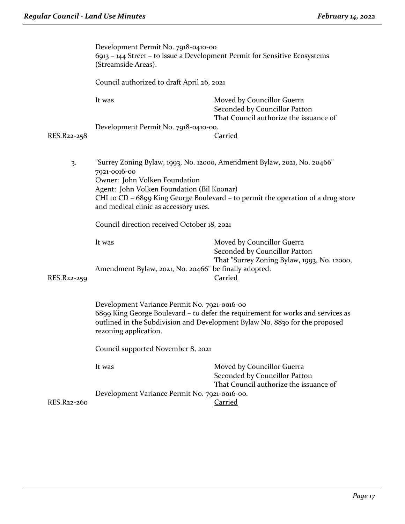|             | Development Permit No. 7918-0410-00<br>6913 – 144 Street – to issue a Development Permit for Sensitive Ecosystems<br>(Streamside Areas).                                                                                                                                                             |                                                                                                                              |  |
|-------------|------------------------------------------------------------------------------------------------------------------------------------------------------------------------------------------------------------------------------------------------------------------------------------------------------|------------------------------------------------------------------------------------------------------------------------------|--|
|             | Council authorized to draft April 26, 2021                                                                                                                                                                                                                                                           |                                                                                                                              |  |
|             | It was                                                                                                                                                                                                                                                                                               | Moved by Councillor Guerra<br>Seconded by Councillor Patton<br>That Council authorize the issuance of                        |  |
| RES.R22-258 | Development Permit No. 7918-0410-00.                                                                                                                                                                                                                                                                 | <u>Carried</u>                                                                                                               |  |
| 3.          | "Surrey Zoning Bylaw, 1993, No. 12000, Amendment Bylaw, 2021, No. 20466"<br>7921-0016-00<br>Owner: John Volken Foundation<br>Agent: John Volken Foundation (Bil Koonar)<br>CHI to CD - 6899 King George Boulevard - to permit the operation of a drug store<br>and medical clinic as accessory uses. |                                                                                                                              |  |
|             | Council direction received October 18, 2021                                                                                                                                                                                                                                                          |                                                                                                                              |  |
| RES.R22-259 | It was<br>Amendment Bylaw, 2021, No. 20466" be finally adopted.                                                                                                                                                                                                                                      | Moved by Councillor Guerra<br>Seconded by Councillor Patton<br>That "Surrey Zoning Bylaw, 1993, No. 12000,<br><b>Carried</b> |  |
|             | Development Variance Permit No. 7921-0016-00<br>6899 King George Boulevard - to defer the requirement for works and services as<br>outlined in the Subdivision and Development Bylaw No. 8830 for the proposed<br>rezoning application.                                                              |                                                                                                                              |  |
|             | Council supported November 8, 2021                                                                                                                                                                                                                                                                   |                                                                                                                              |  |
|             | It was                                                                                                                                                                                                                                                                                               | Moved by Councillor Guerra<br>Seconded by Councillor Patton<br>That Council authorize the issuance of                        |  |
|             | Development Variance Permit No. 7921-0016-00.                                                                                                                                                                                                                                                        |                                                                                                                              |  |
| RES.R22-260 |                                                                                                                                                                                                                                                                                                      | <b>Carried</b>                                                                                                               |  |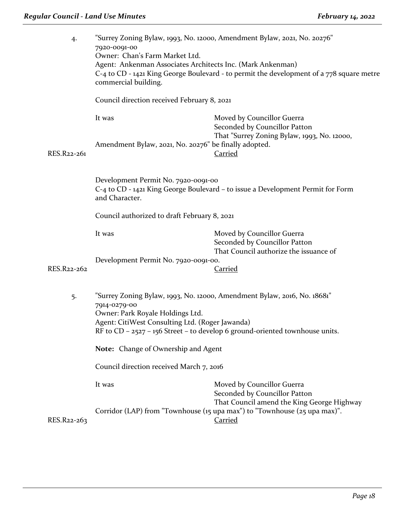| Council direction received February 8, 2021<br>It was<br>Moved by Councillor Guerra<br>Seconded by Councillor Patton<br>That "Surrey Zoning Bylaw, 1993, No. 12000,<br>Amendment Bylaw, 2021, No. 20276" be finally adopted.<br>RES.R22-261<br><b>Carried</b>         | "Surrey Zoning Bylaw, 1993, No. 12000, Amendment Bylaw, 2021, No. 20276"<br>$C$ -4 to $CD$ - 1421 King George Boulevard - to permit the development of a $778$ square metre |  |  |
|-----------------------------------------------------------------------------------------------------------------------------------------------------------------------------------------------------------------------------------------------------------------------|-----------------------------------------------------------------------------------------------------------------------------------------------------------------------------|--|--|
|                                                                                                                                                                                                                                                                       |                                                                                                                                                                             |  |  |
|                                                                                                                                                                                                                                                                       |                                                                                                                                                                             |  |  |
|                                                                                                                                                                                                                                                                       |                                                                                                                                                                             |  |  |
| Development Permit No. 7920-0091-00<br>and Character.                                                                                                                                                                                                                 | C-4 to CD - 1421 King George Boulevard – to issue a Development Permit for Form                                                                                             |  |  |
| Council authorized to draft February 8, 2021                                                                                                                                                                                                                          |                                                                                                                                                                             |  |  |
| Moved by Councillor Guerra<br>It was<br>Seconded by Councillor Patton<br>That Council authorize the issuance of                                                                                                                                                       |                                                                                                                                                                             |  |  |
| Development Permit No. 7920-0091-00.<br>RES.R22-262<br><b>Carried</b>                                                                                                                                                                                                 |                                                                                                                                                                             |  |  |
| "Surrey Zoning Bylaw, 1993, No. 12000, Amendment Bylaw, 2016, No. 18681"<br>5.<br>7914-0279-00<br>Owner: Park Royale Holdings Ltd.<br>Agent: CitiWest Consulting Ltd. (Roger Jawanda)<br>RF to CD - 2527 - 156 Street - to develop 6 ground-oriented townhouse units. |                                                                                                                                                                             |  |  |
| Note: Change of Ownership and Agent                                                                                                                                                                                                                                   |                                                                                                                                                                             |  |  |
| Council direction received March 7, 2016                                                                                                                                                                                                                              |                                                                                                                                                                             |  |  |
| It was<br>Moved by Councillor Guerra<br>Seconded by Councillor Patton<br>That Council amend the King George Highway                                                                                                                                                   |                                                                                                                                                                             |  |  |
| Corridor (LAP) from "Townhouse (15 upa max") to "Townhouse (25 upa max)".<br>Carried<br>RES.R22-263                                                                                                                                                                   |                                                                                                                                                                             |  |  |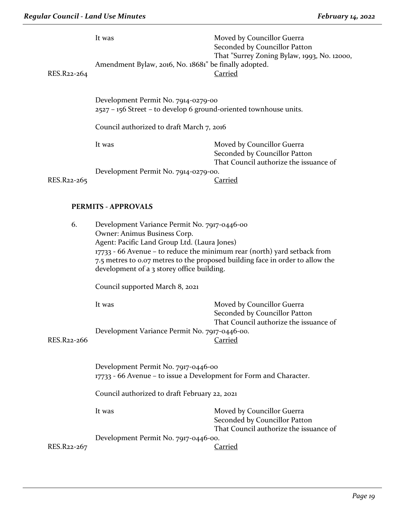| RES.R22-264                | It was<br>Amendment Bylaw, 2016, No. 18681" be finally adopted.                                          | Moved by Councillor Guerra<br>Seconded by Councillor Patton<br>That "Surrey Zoning Bylaw, 1993, No. 12000,<br><b>Carried</b> |
|----------------------------|----------------------------------------------------------------------------------------------------------|------------------------------------------------------------------------------------------------------------------------------|
|                            | Development Permit No. 7914-0279-00<br>2527 - 156 Street - to develop 6 ground-oriented townhouse units. |                                                                                                                              |
|                            | Council authorized to draft March 7, 2016                                                                |                                                                                                                              |
|                            | It was                                                                                                   | Moved by Councillor Guerra<br>Seconded by Councillor Patton<br>That Council authorize the issuance of                        |
|                            | Development Permit No. 7914-0279-00.                                                                     |                                                                                                                              |
| RES.R22-265                |                                                                                                          | Carried                                                                                                                      |
| <b>PERMITS - APPROVALS</b> |                                                                                                          |                                                                                                                              |
| 6.                         | Development Variance Permit No. 7917-0446-00                                                             |                                                                                                                              |

| O.                                                           | Development variance Permit No. 7917-0440-00<br>Owner: Animus Business Corp.<br>Agent: Pacific Land Group Ltd. (Laura Jones)<br>$17733 - 66$ Avenue – to reduce the minimum rear (north) yard setback from<br>7.5 metres to 0.07 metres to the proposed building face in order to allow the<br>development of a 3 storey office building. |                                                                                                       |  |
|--------------------------------------------------------------|-------------------------------------------------------------------------------------------------------------------------------------------------------------------------------------------------------------------------------------------------------------------------------------------------------------------------------------------|-------------------------------------------------------------------------------------------------------|--|
|                                                              |                                                                                                                                                                                                                                                                                                                                           |                                                                                                       |  |
|                                                              | It was                                                                                                                                                                                                                                                                                                                                    | Moved by Councillor Guerra<br>Seconded by Councillor Patton<br>That Council authorize the issuance of |  |
| Development Variance Permit No. 7917-0446-00.<br>RES.R22-266 |                                                                                                                                                                                                                                                                                                                                           | Carried                                                                                               |  |
|                                                              | Development Permit No. 7917-0446-00<br>17733 - 66 Avenue – to issue a Development for Form and Character.                                                                                                                                                                                                                                 |                                                                                                       |  |

Council authorized to draft February 22, 2021

It was **Moved by Councillor Guerra** Seconded by Councillor Patton That Council authorize the issuance of

Development Permit No. 7917-0446-00.

RES.R22-267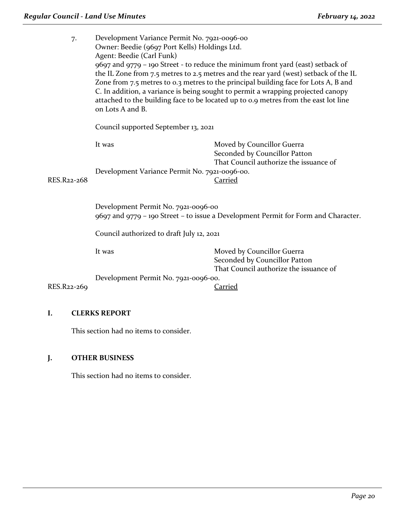| 7.          | Development Variance Permit No. 7921-0096-00<br>Owner: Beedie (9697 Port Kells) Holdings Ltd.<br>Agent: Beedie (Carl Funk)<br>9697 and 9779 - 190 Street - to reduce the minimum front yard (east) setback of<br>the IL Zone from 7.5 metres to 2.5 metres and the rear yard (west) setback of the IL<br>Zone from 7.5 metres to 0.3 metres to the principal building face for Lots A, B and<br>C. In addition, a variance is being sought to permit a wrapping projected canopy<br>attached to the building face to be located up to 0.9 metres from the east lot line<br>on Lots A and B.<br>Council supported September 13, 2021 |                                                                                                       |  |
|-------------|-------------------------------------------------------------------------------------------------------------------------------------------------------------------------------------------------------------------------------------------------------------------------------------------------------------------------------------------------------------------------------------------------------------------------------------------------------------------------------------------------------------------------------------------------------------------------------------------------------------------------------------|-------------------------------------------------------------------------------------------------------|--|
|             |                                                                                                                                                                                                                                                                                                                                                                                                                                                                                                                                                                                                                                     |                                                                                                       |  |
|             | It was                                                                                                                                                                                                                                                                                                                                                                                                                                                                                                                                                                                                                              | Moved by Councillor Guerra<br>Seconded by Councillor Patton<br>That Council authorize the issuance of |  |
| RES.R22-268 | Development Variance Permit No. 7921-0096-00.                                                                                                                                                                                                                                                                                                                                                                                                                                                                                                                                                                                       | <b>Carried</b>                                                                                        |  |
|             | Development Permit No. 7921-0096-00<br>9697 and 9779 - 190 Street - to issue a Development Permit for Form and Character.                                                                                                                                                                                                                                                                                                                                                                                                                                                                                                           |                                                                                                       |  |
|             | Council authorized to draft July 12, 2021                                                                                                                                                                                                                                                                                                                                                                                                                                                                                                                                                                                           |                                                                                                       |  |
|             | It was                                                                                                                                                                                                                                                                                                                                                                                                                                                                                                                                                                                                                              | Moved by Councillor Guerra<br>Seconded by Councillor Patton                                           |  |
| RES.R22-269 | Development Permit No. 7921-0096-00.                                                                                                                                                                                                                                                                                                                                                                                                                                                                                                                                                                                                | That Council authorize the issuance of<br>Carried                                                     |  |

# **I. CLERKS REPORT**

This section had no items to consider.

# **J. OTHER BUSINESS**

This section had no items to consider.